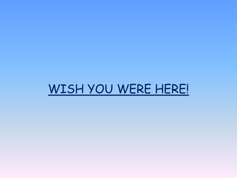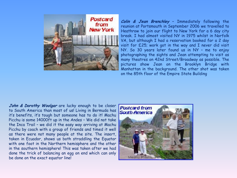

**Colin & Jean Brenchley** – Immediately following the reunion at Portsmouth in September 2006 we travelled to Heathrow to join our flight to New York for a 6 day city break. I had almost visited NY in 1975 whilst in Norfolk VA, but although I had a reservation booked for a 2 day visit for £25; work got in the way and I never did visit NY. So 30 years later found us in NY – me to enjoy photographing the sights and Jean attempting to visit as many theatres on 42nd Street/Broadway as possible. The pictures show Jean on the Brooklyn Bridge with Manhattan in the background. The other shot was taken on the 85th floor of the Empire State Building

**John & Dorothy Woolgar** are lucky enough to be closer to South America than most of us! Living in Bermuda has it's benefits, it's tough but someone has to do it! Machu Picchu is some 14000ft up in the Andes – We did not take the Inca Trail – we did it the easy way arriving at Machu Picchu by coach with a group of friends and timed it well as there were not many people at the site. The insert, taken in Ecuador, shows us both straddling the Equator with one foot in the Northern hemisphere and the other in the southern hemisphere! This was taken after we had done the trick of balancing an egg on end which can only be done on the exact equator line!

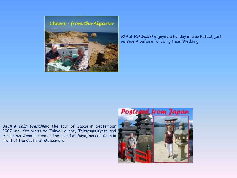

**Phil & Val Gillett** enjoyed a holiday at Sao Rafael, just outside Albufeira following their Wedding

**Jean & Colin Brenchley**. The tour of Japan in September 2007 included visits to Tokyo,Hakone, Takayama,Kyoto and Hiroshima. Jean is seen on the island of Miyajima and Colin in front of the Castle at Matsumoto.

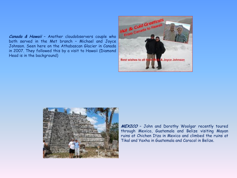**Canada & Hawaii** – Another cloudobservers couple who both served in the Met branch – Michael and Joyce Johnson. Seen here on the Athabascan Glacier in Canada in 2007. They followed this by a visit to Hawaii (Diamond Head is in the background)





**MEXICO** – John and Dorothy Woolgar recently toured through Mexico, Guatemala and Belize visiting Mayan ruins at Chichen Itza in Mexico and climbed the ruins at Tikal and Yaxha in Guatemala and Caracol in Belize.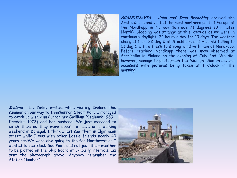

**SCANDINAVIA – Colin and Jean Brenchley** crossed the Arctic Circle and visited the most northern part of Europe at the Nordkapp in Norway (latitude 71 degrees 10 minutes North). Sleeping was strange at this latitude as we were in continuous daylight, 24 hours a day for 10 days. The weather changed from 32 deg C at Stockholm and Helsinki falling to 01 deg C with a fresh to strong wind with rain at Nordkapp. Before reaching Nordkapp there was snow observed at Saariselka in Finland on the evening of July 2nd. We did, however, manage to photograph the Midnight Sun on several occasions with pictures being taken at 1 o'clock in the morning!

**Ireland** - Liz Deley writes, while visiting Ireland this summer on our way to Innishannon Steam Rally I managed to catch up with Ann Curran nee Gwilliam (Seahawk 1969 – Daedalus 1973) and her husband. We just managed to catch them as they were about to leave on a walking weekend in Donegal. I think I last saw them in Elgin main street while I was with other Lossie friends nearly 40 years ago!We were also going to the far Northwest as I wanted to see Black Sod Point and not just their weather to be plotted on the Ship Board at 3-hourly intervals. Liz sent the photograph above. Anybody remember the Station Number?

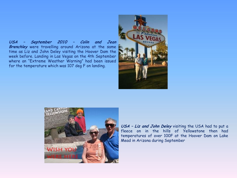**USA – September 2010 – Colin and Jean Brenchley** were travelling around Arizona at the same time as Liz and John Deley visiting the Hoover Dam the week before. Landing in Las Vegas on the 4th September where an "Extreme Weather Warning" had been issued for the temperature which was 107 deg F on landing.





**USA – Liz and John Deley** visiting the USA had to put a fleece on in the hills of Yellowstone then had temperatures of over 100F at the Hoover Dam on Lake Mead in Arizona during September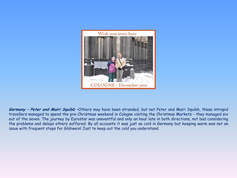

**Germany – Peter and Mairi Squibb –**Others may have been stranded, but not Peter and Mairi Squibb, these intrepid travellers managed to spend the pre-Christmas weekend in Cologne visiting the Christmas Markets – they managed six out of the seven. The journey by Eurostar was uneventful and only an hour late in both directions, not bad considering the problems and delays others suffered. By all accounts it was just as cold in Germany but keeping warm was not an issue with frequent stops for Glühwein! Just to keep out the cold you understand.